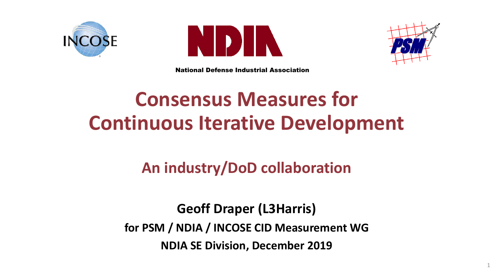





1

National Defense Industrial Association

# **Consensus Measures for Continuous Iterative Development**

## **An industry/DoD collaboration**

**Geoff Draper (L3Harris) for PSM / NDIA / INCOSE CID Measurement WG NDIA SE Division, December 2019**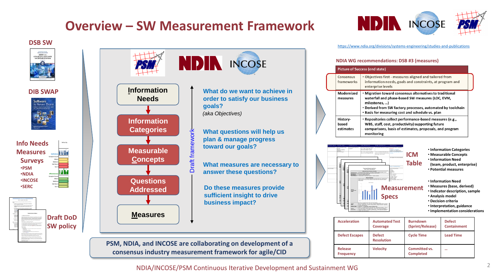### **Overview – SW Measurement Framework**

# **INCOSE**

<https://www.ndia.org/divisions/systems-engineering/studies-and-publications> **DSB SW**

### **NDIA WG recommendations: DSB #3 (measures)**

|                                | <b>Picture of Success (end state)</b>                                                                                                                                                                                                            |  |  |  |  |  |  |  |
|--------------------------------|--------------------------------------------------------------------------------------------------------------------------------------------------------------------------------------------------------------------------------------------------|--|--|--|--|--|--|--|
| Consensus<br>frameworks        | • Objectives first - measures aligned and tailored from<br>information needs, goals and constraints, at program and<br>enterprise levels                                                                                                         |  |  |  |  |  |  |  |
| Modernized<br>measures         | • Migration toward consensus alternatives to traditional<br>waterfall and phase-based SW measures (LOC, EVM,<br>milestones, )<br>• Derived from SW factory processes, automated by toolchain<br>. Basis for measuring cost and schedule vs. plan |  |  |  |  |  |  |  |
| History-<br>based<br>estimates | • Repositories collect performance-based measures (e.g.,<br>WBS, staff, cost, productivity) supporting future<br>comparisons, basis of estimates, proposals, and program<br>monitoring                                                           |  |  |  |  |  |  |  |
|                                |                                                                                                                                                                                                                                                  |  |  |  |  |  |  |  |

**Table (team, product, enterprise)** • **Potential measures** • **Information Need**

- **Measurement** • **Measures (base, derived)**
	- **Indicator description, sample**
	- **Analysis model**
	- **Decision criteria**
	- **Interpretation, guidance**
	- **Implementation considerations**

| <b>Acceleration</b>         | <b>Automated Test</b><br>Coverage  | <b>Burndown</b><br>(Sprint/Release)      | <b>Defect</b><br><b>Containment</b> |  |  |
|-----------------------------|------------------------------------|------------------------------------------|-------------------------------------|--|--|
| <b>Defect Escapes</b>       | <b>Defect</b><br><b>Resolution</b> | <b>Cycle Time</b>                        | <b>Lead Time</b>                    |  |  |
| Release<br><b>Frequency</b> | <b>Velocity</b>                    | <b>Committed vs.</b><br><b>Completed</b> |                                     |  |  |

**Specs**





**DIB SWAP**

Software s Never Dor



NDIA/INCOSE/PSM Continuous Iterative Development and Sustainment WG

**INCOSE**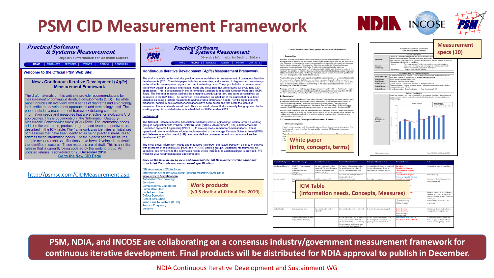## **PSM CID Measurement Framework**



lopment environment (e.g. people, process, infrastructure)?



### **Measurement Practical Software Practical Software** Measurement Information Specification Continuous Iterative Development Measurement Framework & Systems Measurement самисшен шиншанин эрелиса<br>- Таат Valority (Таат Маасика) & Systems Measurement **specs (10)PSI** 1. Introduction **Objective Information for Decision Makers** Objective Information for Decision Makers This paper provides recommendations for measurement of continuous iterative developments (CID). It stion, typically a count of completed story points or equivalent. Versenty currenteers<br>**d** to estimate the amount of work that can be accomplished by the team in future ite This paper provides recommendations for measurement of continuous literative developments (CID). It<br>includes a series of diagrams and an ontology, to describe the development approaches and terminology<br>used . The paper inc SERVICES FVENTS FORUM CONTACTS  $\overline{\rm{r}}$  are a<br>reage amounted vecofic a team completes in a sprint, iteration, or release. Used for planning and measuring team performance in iterative of<br>release. Used for planning and measuring team performance in it **PRODUCTS** HOME | PRODUCTS | SERVICES | EVENTS | FORUM | CONTACTS | weasurable Concept~weasures (וכאש) ו auter וואס וואס משפט און פון שמשפט און פון פון שמשפט און פון פון איז האט<br>product/program, and team perspectives. This is documented in the ICM table described in section 5. The<br>framewo **Continuous Iterative Development (Agile) Measurement Framework** Welcome to the Official PSM Web Site! address these information needs. For the highest priority measures, sample measurement specifications **Information Need and Measure Description** have been developed that detail the identified measure Is the team performing as expected? Does the team co **u**<br>anth: meat the anticipated valuaits Information Need A successful measurement program depends on establishing a clear context and operational definitions for<br>the measures to be collected. Definitions can sometimes vary depending on the references and how<br>measures are applied How much work can be accomplished by the team in a future iteration' The draft materials on this web site provide recommendations for measurement of continuous iterative New - Continuous Iterative Development (Agile) developments (CID). The white paper includes an overview, and a series of diagrams and an ontology to describe the development approaches and terminology used. The paper includes a measurement **Measurement Framework** consistently with community consensus framework detailing common information needs and measures that are effective for evaluating CID This paper is intended to be methodology and approach agnostic, and is written so that it may be adapted<br>to organizational needs. Different methodologies and tools may use different terminology than defined in<br>this paper. approaches. This is documented in the "Information Category-Measurable Concept-Measures" (ICM) Table. The information needs address the enterprise, product/program, and team perspectives, as **Indicator Specification** The draft materials on this web site provide recommendations for 2. Background described in the ICM table. The framework also identifies an initial set of measures that have been measurement of continuous iterative developments (CID). The white The National Defense Industrial Association (NDIA) Systems Engineering Division formed a working group rolling average identified as being practical measures to address these information needs. For the highest priority in conjunction with Practical Software and Systems Measurement (PSM) and International Council o paper includes an overview, and a series of diagrams and an ontology. measures, sample measurement specifications have been developed that detail the identified Systems Engineering (INCOSE) to develop measurement recommendations. These operational Sample calculation:<br>Velocity for ineration 4<br>Velocity =  $(13+15+13+1)$ . recommendations address implementation of the strategic Defense Science Board (DSB) and Defense<br>Innovation Board (DIB) recommendations on measurement for continuous iterative development (CID). measures. These materials are all draft. This is an initial release that is currently being updated by the to describe the development approaches and terminology used. The working group. An updated release is scheduled for 20 December 2019. paper includes a measurement framework detailing common The most critical information needs and measures have been nrivritized, based on a series of surveys with The most critical information needs and measures have been prioritized, based on a series of surveys with<br>members of relevant NDIA, PSM, and INCOSE working groups. Additional measures will be specified, and<br>revisions to th information needs and measures that are effective for evaluating CID Background: ndations and comments approaches. This is documented in the "Information Category-Indicator<br>Description and<br>Sample 3. Continuous Iterative Development Measurement Framewor Measurable Concept-Measures" (ICM) Table. The information needs The National Defense Industrial Association (NDIA) Systems Engineering Division formed a working a. CID Work Decomposition address the enterprise, product/program, and team perspectives, as group in conjunction with Practical Software and Systems Measurement (PSM) and International Figure 1 contains a sample work decomposition approach for continuous iterative devel<br>terminology will be used throughout this paper and the associated ICM Table and meas<br>specifications. Council on Systems Engineering (INCOSE) to develop measurement recommendations. These described in the ICM table. The framework also identifies an initial set operational recommendations address implementation of the strategic Defense Science Board (DSB) of measures that have been identified as being practical measures to and Defense Innovation Board (DIB) recommendations on measurement for continuous iterative address these information needs. For the highest priority measures, development (CID). **White paper** sample measurement specifications have been developed that detail the identified measures. These materials are all draft. This is an initial The most critical information needs and measures have been prioritized, based on a series of surveys **(intro, concepts, terms)** release that is currently being updated by the working group. An with members of relevant NDIA, PSM, and INCOSE working groups. Additional measures will be specified, and revisions to the information needs will be included, as additional input is provided. We updated release is scheduled for 20 December 2019. Velocity\_Janes\_13Nov.doct Saved: 11/20/2019 10:54 AM/Draper, Oeoff (U welcome your recommendations and comments. Go to the New CID Page Click on the links below to view and download the CID Measurement white paper and associated ICM table and measurement specifications. **Information Categories Measurable Concept Team Information Need Product Information Need Enterprise Information Need Potential Measures Notes** Schedule and Progress Work Unit Progress (team, Are story points delivered as **Burndown Committed vs. Completed** Story points, features, capabilities re still on track to deliver all s till on track to deliver al **CID Measurement White Paper** product) committed? Are we still on track iver all story points per es per roadmap? (on plan Milestone Completion capabilities per roadmap? (on plan) **Cumulative Flow Diagram** Information Category-Measurable Concept-Measures (ICM) Table map? (on plan) <http://psmsc.com/CIDMeasurement.asp> (enterprise) **Velocity Measurement Specifications** Work Backlog How much outstanding technical or mission debt exists? **Cumulative Flow Diagram** Criticality is key **Feature or Capability Backlog Automated Test Coverage** and Stability c to do SLOC actuals fo How big is our system? How big is our system? How big is our system? **Committed vs. Completed Burndown** Physical Size and Stability and Stability Stories Completed transitional period **Work products**  Features Completed **Committed vs. Completed ICM Table** Capabilities Completed **Cumulative Flow (v0.5 draft > v1.0 final Dec 2019)** E (Information needs, Concepts, Measures) **Cycle Lead Time** Desirements need to be considered. Defect Detection Need to track source or reason for nge: CID work, change in mis accommodate changes in customer Feature Volatility **Defect Resolution** defects, etc. <del>Capaouses Compare</del>d<br>Capability Volatility Mean Time to Restore (MTTR) Some volatility is expected with **Racklog** Volatility toring. **Release Frequency** Velocity ne teams do not track defect Product Quality Functional Correctness Does functionality work as Does functionality work as expected? Is rework identified and managed? **Defect Detection** expected? **Defect Resolution** ry points or change report es Accepte Rework Stories Dependability - Reliability What is the reliability and availability of Supportability - Maintainability What is the reliability and availability of **Mean Time to Detect (MTTD)** For operational environment. May ional service capabilities **Mean Time to Restore (MTTR)** us on types of defect or failur the development environment (e.g., at is the reliability and availabi surity, priority 1-2, etc. people, process, infrastructure)?

**PSM, NDIA, and INCOSE are collaborating on a consensus industry/government measurement framework for continuous iterative development. Final products will be distributed for NDIA approval to publish in December.** 

NDIA Continuous Iterative Development and Sustainment WG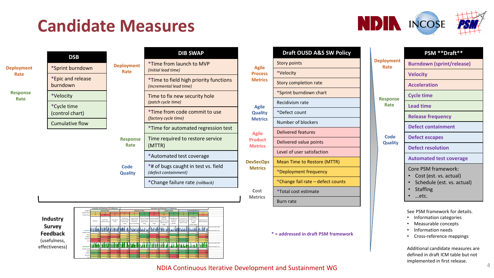# **Candidate Measures**



|                         | <b>DSB</b>                     |                           |
|-------------------------|--------------------------------|---------------------------|
| <b>Deployment</b>       | *Sprint burndown               | <b>Deployment</b><br>Rate |
| Rate                    | *Epic and release<br>burndown  |                           |
| <b>Response</b><br>Rate | *Velocity                      |                           |
|                         | *Cycle time<br>(control chart) |                           |
|                         | <b>Cumulative flow</b>         |                           |
|                         |                                | <b>Response</b><br>Rate   |

|                         | <b>DIB SWAP</b>                                                          |
|-------------------------|--------------------------------------------------------------------------|
| ployment<br>Rate        | *Time from launch to MVP<br>(initial lead time)                          |
|                         | *Time to field high priority functions<br><i>(incremental lead time)</i> |
|                         | Time to fix new security hole<br>(patch cycle time)                      |
|                         | *Time from code commit to use<br><i>(factory cycle time)</i>             |
|                         | *Time for automated regression test                                      |
| <b>Response</b><br>Rate | Time required to restore service<br>(MTTR)                               |
|                         | *Automated test coverage                                                 |
| Code<br><b>Quality</b>  | *# of bugs caught in test vs. field<br>(defect containment)              |
|                         | *Change failure rate (rollback)                                          |

|                                |                      |              | <b>Evaluation and Ranking of DSB Measures</b> |                          |                                                     |                                                                |                                         |                                                                            | <b>Evaluation and Ranking of DIB Measures</b>              |                                                  |                                                    |                                                     |                                   |                                             |
|--------------------------------|----------------------|--------------|-----------------------------------------------|--------------------------|-----------------------------------------------------|----------------------------------------------------------------|-----------------------------------------|----------------------------------------------------------------------------|------------------------------------------------------------|--------------------------------------------------|----------------------------------------------------|-----------------------------------------------------|-----------------------------------|---------------------------------------------|
|                                | Category             |              | <b>Response Rate</b>                          |                          |                                                     | <b>Deployment Rate</b>                                         |                                         |                                                                            | <b>Response Rate</b>                                       |                                                  |                                                    | <b>Code Quality Metrics</b>                         |                                   |                                             |
|                                | Category Rank        |              | z                                             | $\overline{\phantom{a}}$ | $\epsilon$                                          |                                                                |                                         | r                                                                          |                                                            |                                                  |                                                    |                                                     | $\mathbf{R}$                      |                                             |
|                                | Overall Rank         |              | 14                                            | 11                       | $\ddot{\phantom{a}}$                                | K.                                                             |                                         | 13                                                                         | 10                                                         |                                                  | $\overline{A}$                                     | $\bullet$                                           | 12                                |                                             |
| <b>Industry</b>                |                      | Velocity     | <b>Cycle Time</b><br>(Control Chart)          | Cumulative<br>Flow       | Time from<br>Launch to MV<br>finitial lead<br>timel | Time to Field<br>High Priority<br>Functions<br>incr lead timel | Security Hole<br>(patch cycle)<br>timel | ime to Fix New Time from Code<br>Commit to Use<br>(factory cycle)<br>timel | Time for<br>Automate<br>Regression Test<br>(regists) cycle | Time Required<br>to Restore<br>Service<br>(MTTR) | Automated Test<br>Coverage of Test<br>Specs / Code | # of Bugs<br>Caught in Test<br>vs. Field<br>(defect | Change Failure<br>Rate (rollback) |                                             |
| <b>Survey</b>                  | <b>Hofulno</b> s     |              |                                               |                          |                                                     |                                                                |                                         |                                                                            | time)                                                      |                                                  |                                                    | containment)                                        |                                   | Least Favorable (Ni:<br>Most Favorable (1): |
| Feedback                       | Sample Coun          | 53           | 54                                            | 53                       | 52                                                  | 54                                                             | 56                                      | 53                                                                         | 53                                                         | 53                                               | 55                                                 | 55                                                  | 53                                |                                             |
|                                | Moz                  | 2.30         | 2.41                                          | 2.55                     | 2.30                                                | 2.11                                                           | 1.72                                    | 2.73                                                                       | 2.48                                                       | 1.70                                             | 1.83                                               | 1.80                                                | 2.55                              |                                             |
|                                | Median               | 2.00         | 3.00                                          | 3.00                     | 2.00                                                | 2.00                                                           | 1.00                                    | 3.00                                                                       | 3.00                                                       | 2.00                                             | 2.00                                               | 2.00                                                | 3.00                              |                                             |
|                                | Std Dev.S<br>Var.5   | 1.05<br>109  | 0.99<br>0.98                                  | 0.87<br>0.76             | 0.77<br>0.59                                        | 0.87<br>0.75                                                   | 0.88<br>0.78                            | 0.80<br>0.64                                                               | 0.76<br>0.57                                               | 0.74<br>0.55                                     | 0.57<br>0.32                                       | 0.87<br>0.75                                        | 0.87<br>0.76                      |                                             |
| (usefulness,<br>effectiveness) | <b>Fffarthrono</b>   |              |                                               |                          |                                                     |                                                                |                                         |                                                                            |                                                            |                                                  |                                                    |                                                     |                                   | Least Favorable (Ni:<br>Most Favorable (1): |
|                                | Sample Coun          | 33           | 33                                            | 34                       | 31                                                  | 35                                                             | 31                                      | 30                                                                         | 31                                                         | 33                                               | 33                                                 |                                                     | 30                                |                                             |
|                                | Moze                 | 2.39         | 2.82                                          | 2.94                     | 2.90                                                | 2.89                                                           | 2.61                                    | 2.83                                                                       | 2.87                                                       | 2.45                                             | 2.24                                               | 2.20                                                | 2.93                              |                                             |
|                                | Median<br>Styl Day 9 | 2.00<br>0.90 | 3.00<br>0.92                                  | 3.00<br>0.98             | 3.00<br>0.98                                        | 3.00<br>0.83                                                   | 2.00<br>1.05                            | 3.00<br>0.91                                                               | 3.00<br>0.88                                               | 2.00<br>1.18                                     | 2.00<br>0.97                                       | 2.00<br>1.00                                        | 3.00<br>1.05                      |                                             |
|                                | Var.5                | 0.81         | 0.84                                          | 0.97                     | 0.96                                                | 0.69                                                           | 1.11                                    | 0.83                                                                       | 0.78                                                       | 1.38                                             | 0.94                                               | 0.99                                                | 1.10                              |                                             |

|                                  | <b>Draft OUSD A&amp;S SW Policy</b> |  |  |  |  |  |  |
|----------------------------------|-------------------------------------|--|--|--|--|--|--|
| <b>Agile</b><br><b>Process</b>   | <b>Story points</b>                 |  |  |  |  |  |  |
|                                  | *Velocity                           |  |  |  |  |  |  |
| <b>Metrics</b>                   | Story completion rate               |  |  |  |  |  |  |
|                                  | *Sprint burndown chart              |  |  |  |  |  |  |
| <b>Agile</b>                     | Recidivism rate                     |  |  |  |  |  |  |
| <b>Quality</b>                   | *Defect count                       |  |  |  |  |  |  |
| <b>Metrics</b>                   | Number of blockers                  |  |  |  |  |  |  |
| <b>Agile</b>                     | Delivered features                  |  |  |  |  |  |  |
| <b>Product</b><br><b>Metrics</b> | Delivered value points              |  |  |  |  |  |  |
|                                  | Level of user satisfaction          |  |  |  |  |  |  |
| <b>DevSecOps</b>                 | <b>Mean Time to Restore (MTTR)</b>  |  |  |  |  |  |  |
| <b>Metrics</b>                   | *Deployment frequency               |  |  |  |  |  |  |
|                                  | *Change fail rate – defect counts   |  |  |  |  |  |  |
| Cost<br><b>Metrics</b>           | *Total cost estimate                |  |  |  |  |  |  |
|                                  | Burn rate                           |  |  |  |  |  |  |

### **\* = addressed in draft PSM framework**

|                           |                        | PSM **Draft**                                                                                          |  |  |  |  |  |
|---------------------------|------------------------|--------------------------------------------------------------------------------------------------------|--|--|--|--|--|
| <b>Deployment</b><br>Rate |                        | <b>Burndown (sprint/release)</b>                                                                       |  |  |  |  |  |
|                           |                        | <b>Velocity</b>                                                                                        |  |  |  |  |  |
|                           |                        | <b>Acceleration</b>                                                                                    |  |  |  |  |  |
|                           | <b>Response</b>        | <b>Cycle time</b>                                                                                      |  |  |  |  |  |
|                           | Rate                   | <b>Lead time</b>                                                                                       |  |  |  |  |  |
|                           |                        | <b>Release frequency</b>                                                                               |  |  |  |  |  |
|                           |                        | <b>Defect containment</b>                                                                              |  |  |  |  |  |
|                           | Code<br><b>Quality</b> | <b>Defect escapes</b>                                                                                  |  |  |  |  |  |
|                           |                        | <b>Defect resolution</b>                                                                               |  |  |  |  |  |
|                           |                        | <b>Automated test coverage</b>                                                                         |  |  |  |  |  |
|                           |                        | Core PSM framework:<br>Cost (est. vs. actual)<br>Schedule (est. vs. actual)<br><b>Staffing</b><br>etc. |  |  |  |  |  |

### See PSM framework for details.

- Information categories
- Measurable concepts
- Information needs
- Cross-reference mappings

Additional candidate measures are defined in draft ICM table but not implemented in first release.

NDIA Continuous Iterative Development and Sustainment WG